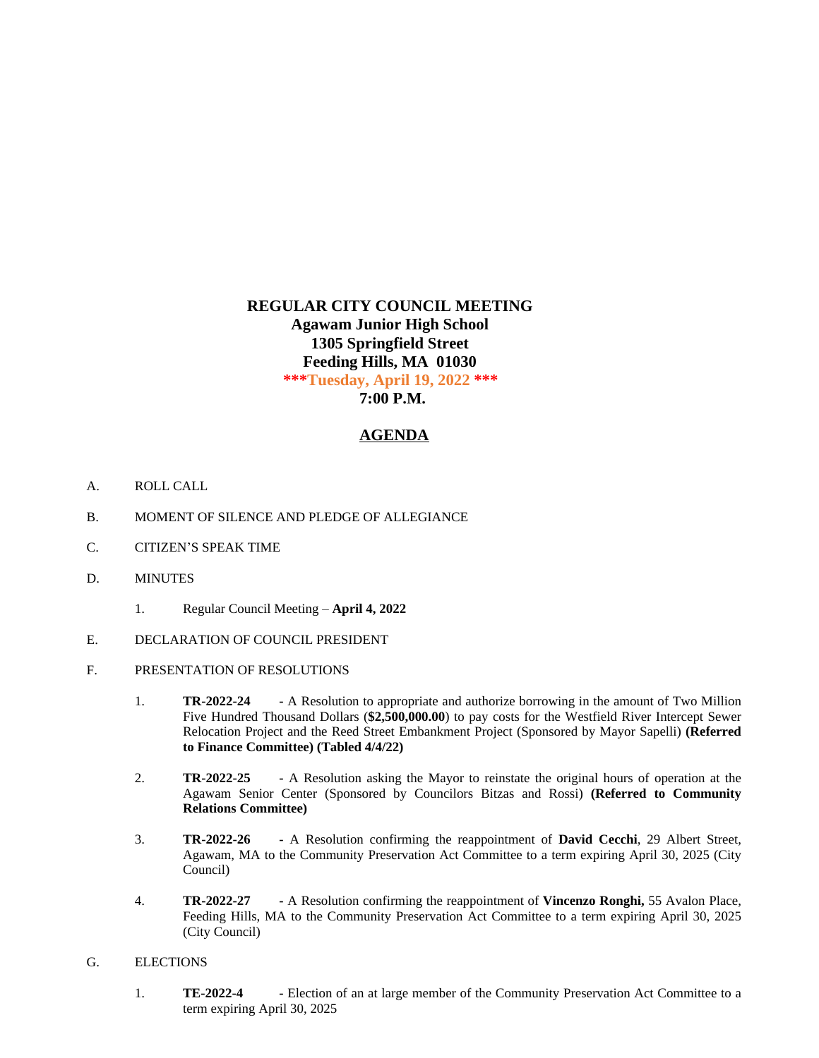# **REGULAR CITY COUNCIL MEETING Agawam Junior High School 1305 Springfield Street Feeding Hills, MA 01030 \*\*\*Tuesday, April 19, 2022 \*\*\* 7:00 P.M.**

# **AGENDA**

- A. ROLL CALL
- B. MOMENT OF SILENCE AND PLEDGE OF ALLEGIANCE
- C. CITIZEN'S SPEAK TIME
- D. MINUTES
	- 1. Regular Council Meeting **April 4, 2022**
- E. DECLARATION OF COUNCIL PRESIDENT
- F. PRESENTATION OF RESOLUTIONS
	- 1. **TR-2022-24 -** A Resolution to appropriate and authorize borrowing in the amount of Two Million Five Hundred Thousand Dollars (**\$2,500,000.00**) to pay costs for the Westfield River Intercept Sewer Relocation Project and the Reed Street Embankment Project (Sponsored by Mayor Sapelli) **(Referred to Finance Committee) (Tabled 4/4/22)**
	- 2. **TR-2022-25 -** A Resolution asking the Mayor to reinstate the original hours of operation at the Agawam Senior Center (Sponsored by Councilors Bitzas and Rossi) **(Referred to Community Relations Committee)**
	- 3. **TR-2022-26 -** A Resolution confirming the reappointment of **David Cecchi**, 29 Albert Street, Agawam, MA to the Community Preservation Act Committee to a term expiring April 30, 2025 (City Council)
	- 4. **TR-2022-27 -** A Resolution confirming the reappointment of **Vincenzo Ronghi,** 55 Avalon Place, Feeding Hills, MA to the Community Preservation Act Committee to a term expiring April 30, 2025 (City Council)
- G. ELECTIONS
	- 1. **TE-2022-4 -** Election of an at large member of the Community Preservation Act Committee to a term expiring April 30, 2025